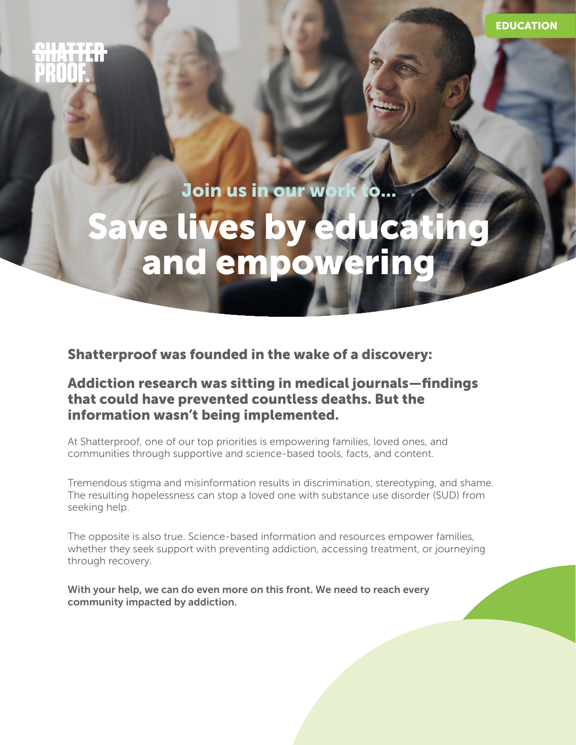# ana ara

Save Join us in our work to the same of the same of the same of the same of the same of the same of the same of the same of the same of the same of the same of the same of the same of the same of the same of the same of th re lives by educat and empower Join us in our work to...

Shatterproof was founded in the wake of a discovery:

 $\mathcal{I}$  is the set of  $\mathcal{I}$ 

### Addiction research was sitting in medical journals—findings that could have prevented countless deaths. But the information wasn't being implemented.

At Shatterproof, one of our top priorities is empowering families, loved ones, and communities through supportive and science-based tools, facts, and content.

Tremendous stigma and misinformation results in discrimination, stereotyping, and shame. The resulting hopelessness can stop a loved one with substance use disorder (SUD) from seeking help.

The opposite is also true. Science-based information and resources empower families, whether they seek support with preventing addiction, accessing treatment, or journeying through recovery.

With your help, we can do even more on this front. We need to reach every community impacted by addiction.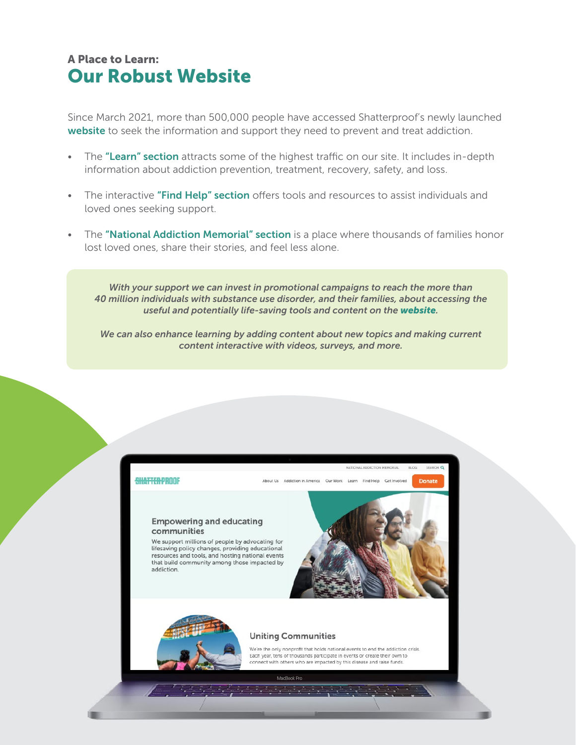## Our Robust Website A Place to Learn:

Since March 2021, more than 500,000 people have accessed Shatterproof's newly launched [website](https://www.shatterproof.org) to seek the information and support they need to prevent and treat addiction.

- The ["Learn" section](https://www.shatterproof.org/learn) attracts some of the highest traffic on our site. It includes in-depth information about addiction prevention, treatment, recovery, safety, and loss.
- The interactive ["Find Help" section](https://www.shatterproof.org/find-help) offers tools and resources to assist individuals and loved ones seeking support.
- The ["National Addiction Memorial" section](https://www.shatterproof.org/nationalmemorial) is a place where thousands of families honor lost loved ones, share their stories, and feel less alone.

*With your support we can invest in promotional campaigns to reach the more than 40 million individuals with substance use disorder, and their families, about accessing the useful and potentially life-saving tools and content on the [website](https://www.shatterproof.org).*

*We can also enhance learning by adding content about new topics and making current content interactive with videos, surveys, and more.* 

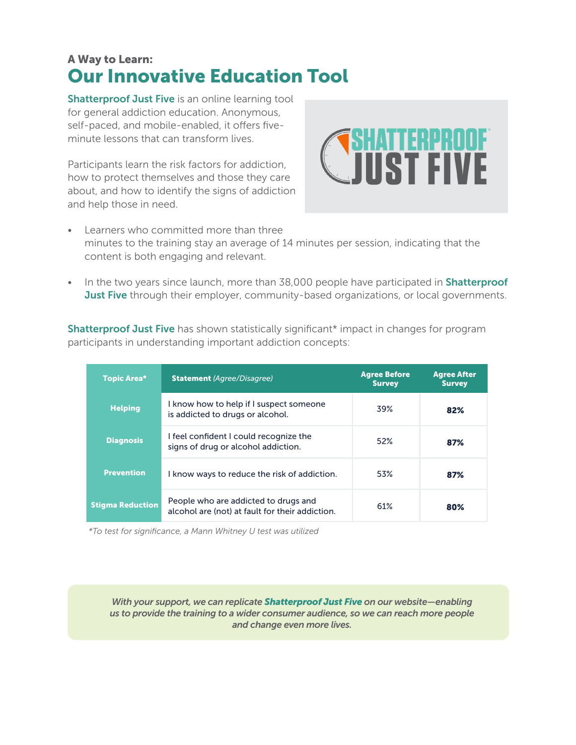## Our Innovative Education Tool A Way to Learn:

[Shatterproof Just Five](https://justfive.org) is an online learning tool for general addiction education. Anonymous, self-paced, and mobile-enabled, it offers fiveminute lessons that can transform lives.

Participants learn the risk factors for addiction, how to protect themselves and those they care about, and how to identify the signs of addiction and help those in need.



- Learners who committed more than three minutes to the training stay an average of 14 minutes per session, indicating that the content is both engaging and relevant.
- In the two years since launch, more than 38,000 people have participated in **Shatterproof [Just Five](https://justfive.org)** through their employer, community-based organizations, or local governments.

**[Shatterproof Just Five](https://justfive.org)** has shown statistically significant\* impact in changes for program participants in understanding important addiction concepts:

| <b>Topic Area*</b>      | <b>Statement</b> (Agree/Disagree)                                                       | <b>Agree Before</b><br><b>Survey</b> | <b>Agree After</b><br><b>Survey</b> |
|-------------------------|-----------------------------------------------------------------------------------------|--------------------------------------|-------------------------------------|
| <b>Helping</b>          | I know how to help if I suspect someone<br>is addicted to drugs or alcohol.             | 39%                                  | 82%                                 |
| <b>Diagnosis</b>        | I feel confident I could recognize the<br>signs of drug or alcohol addiction.           | 52%                                  | 87%                                 |
| <b>Prevention</b>       | I know ways to reduce the risk of addiction.                                            | 53%                                  | 87%                                 |
| <b>Stigma Reduction</b> | People who are addicted to drugs and<br>alcohol are (not) at fault for their addiction. | 61%                                  | 80%                                 |

*\*To test for significance, a Mann Whitney U test was utilized*

*With your support, we can replicate [Shatterproof Just Five](https://justfive.org) on our website—enabling us to provide the training to a wider consumer audience, so we can reach more people and change even more lives.*